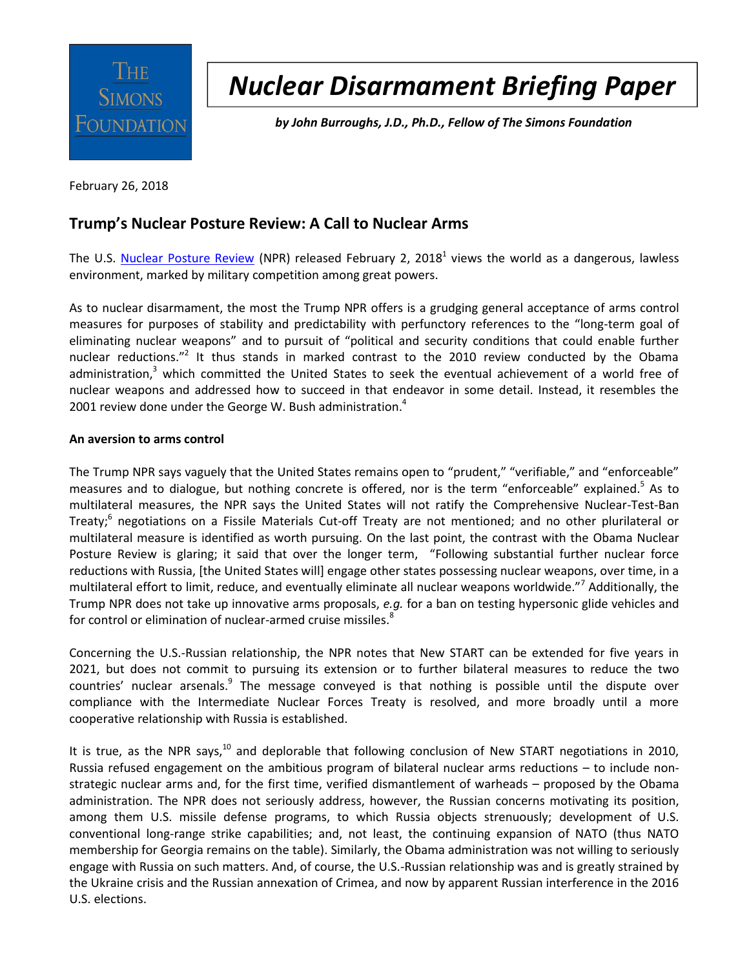

# *Nuclear Disarmament Briefing Paper*

*by John Burroughs, J.D., Ph.D., Fellow of The Simons Foundation*

February 26, 2018

## **Trump's Nuclear Posture Review: A Call to Nuclear Arms**

The U.S. [Nuclear Posture Review](https://media.defense.gov/2018/Feb/02/2001872886/-1/-1/1/2018-NUCLEAR-POSTURE-REVIEW-FINAL-REPORT.PDF) (NPR) released February 2, 2018<sup>1</sup> views the world as a dangerous, lawless environment, marked by military competition among great powers.

As to nuclear disarmament, the most the Trump NPR offers is a grudging general acceptance of arms control measures for purposes of stability and predictability with perfunctory references to the "long-term goal of eliminating nuclear weapons" and to pursuit of "political and security conditions that could enable further nuclear reductions."<sup>2</sup> It thus stands in marked contrast to the 2010 review conducted by the Obama administration,<sup>3</sup> which committed the United States to seek the eventual achievement of a world free of nuclear weapons and addressed how to succeed in that endeavor in some detail. Instead, it resembles the 2001 review done under the George W. Bush administration.<sup>4</sup>

#### **An aversion to arms control**

The Trump NPR says vaguely that the United States remains open to "prudent," "verifiable," and "enforceable" measures and to dialogue, but nothing concrete is offered, nor is the term "enforceable" explained.<sup>5</sup> As to multilateral measures, the NPR says the United States will not ratify the Comprehensive Nuclear-Test-Ban Treaty;<sup>6</sup> negotiations on a Fissile Materials Cut-off Treaty are not mentioned; and no other plurilateral or multilateral measure is identified as worth pursuing. On the last point, the contrast with the Obama Nuclear Posture Review is glaring; it said that over the longer term, "Following substantial further nuclear force reductions with Russia, [the United States will] engage other states possessing nuclear weapons, over time, in a multilateral effort to limit, reduce, and eventually eliminate all nuclear weapons worldwide."<sup>7</sup> Additionally, the Trump NPR does not take up innovative arms proposals, *e.g.* for a ban on testing hypersonic glide vehicles and for control or elimination of nuclear-armed cruise missiles. $^{8}$ 

Concerning the U.S.-Russian relationship, the NPR notes that New START can be extended for five years in 2021, but does not commit to pursuing its extension or to further bilateral measures to reduce the two countries' nuclear arsenals.<sup>9</sup> The message conveyed is that nothing is possible until the dispute over compliance with the Intermediate Nuclear Forces Treaty is resolved, and more broadly until a more cooperative relationship with Russia is established.

It is true, as the NPR says, $^{10}$  and deplorable that following conclusion of New START negotiations in 2010, Russia refused engagement on the ambitious program of bilateral nuclear arms reductions – to include nonstrategic nuclear arms and, for the first time, verified dismantlement of warheads – proposed by the Obama administration. The NPR does not seriously address, however, the Russian concerns motivating its position, among them U.S. missile defense programs, to which Russia objects strenuously; development of U.S. conventional long-range strike capabilities; and, not least, the continuing expansion of NATO (thus NATO membership for Georgia remains on the table). Similarly, the Obama administration was not willing to seriously engage with Russia on such matters. And, of course, the U.S.-Russian relationship was and is greatly strained by the Ukraine crisis and the Russian annexation of Crimea, and now by apparent Russian interference in the 2016 U.S. elections.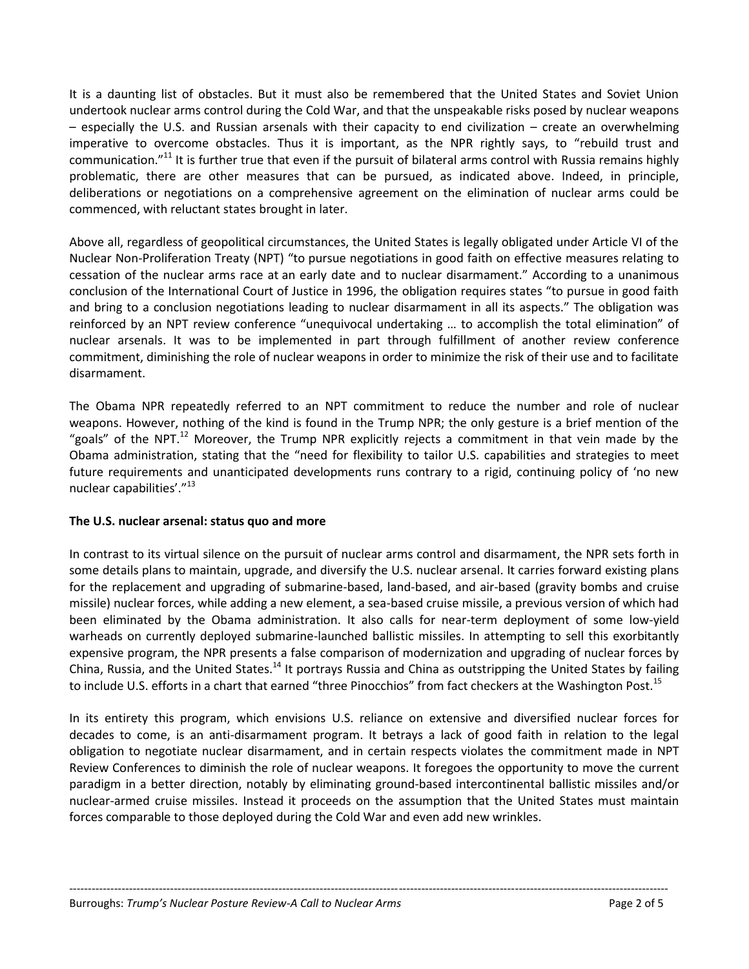It is a daunting list of obstacles. But it must also be remembered that the United States and Soviet Union undertook nuclear arms control during the Cold War, and that the unspeakable risks posed by nuclear weapons – especially the U.S. and Russian arsenals with their capacity to end civilization – create an overwhelming imperative to overcome obstacles. Thus it is important, as the NPR rightly says, to "rebuild trust and communication."<sup>11</sup> It is further true that even if the pursuit of bilateral arms control with Russia remains highly problematic, there are other measures that can be pursued, as indicated above. Indeed, in principle, deliberations or negotiations on a comprehensive agreement on the elimination of nuclear arms could be commenced, with reluctant states brought in later.

Above all, regardless of geopolitical circumstances, the United States is legally obligated under Article VI of the Nuclear Non-Proliferation Treaty (NPT) "to pursue negotiations in good faith on effective measures relating to cessation of the nuclear arms race at an early date and to nuclear disarmament." According to a unanimous conclusion of the International Court of Justice in 1996, the obligation requires states "to pursue in good faith and bring to a conclusion negotiations leading to nuclear disarmament in all its aspects." The obligation was reinforced by an NPT review conference "unequivocal undertaking … to accomplish the total elimination" of nuclear arsenals. It was to be implemented in part through fulfillment of another review conference commitment, diminishing the role of nuclear weapons in order to minimize the risk of their use and to facilitate disarmament.

The Obama NPR repeatedly referred to an NPT commitment to reduce the number and role of nuclear weapons. However, nothing of the kind is found in the Trump NPR; the only gesture is a brief mention of the "goals" of the NPT. $^{12}$  Moreover, the Trump NPR explicitly rejects a commitment in that vein made by the Obama administration, stating that the "need for flexibility to tailor U.S. capabilities and strategies to meet future requirements and unanticipated developments runs contrary to a rigid, continuing policy of 'no new nuclear capabilities'."<sup>13</sup>

#### **The U.S. nuclear arsenal: status quo and more**

In contrast to its virtual silence on the pursuit of nuclear arms control and disarmament, the NPR sets forth in some details plans to maintain, upgrade, and diversify the U.S. nuclear arsenal. It carries forward existing plans for the replacement and upgrading of submarine-based, land-based, and air-based (gravity bombs and cruise missile) nuclear forces, while adding a new element, a sea-based cruise missile, a previous version of which had been eliminated by the Obama administration. It also calls for near-term deployment of some low-yield warheads on currently deployed submarine-launched ballistic missiles. In attempting to sell this exorbitantly expensive program, the NPR presents a false comparison of modernization and upgrading of nuclear forces by China, Russia, and the United States.<sup>14</sup> It portrays Russia and China as outstripping the United States by failing to include U.S. efforts in a chart that earned "three Pinocchios" from fact checkers at the Washington Post.<sup>15</sup>

In its entirety this program, which envisions U.S. reliance on extensive and diversified nuclear forces for decades to come, is an anti-disarmament program. It betrays a lack of good faith in relation to the legal obligation to negotiate nuclear disarmament, and in certain respects violates the commitment made in NPT Review Conferences to diminish the role of nuclear weapons. It foregoes the opportunity to move the current paradigm in a better direction, notably by eliminating ground-based intercontinental ballistic missiles and/or nuclear-armed cruise missiles. Instead it proceeds on the assumption that the United States must maintain forces comparable to those deployed during the Cold War and even add new wrinkles.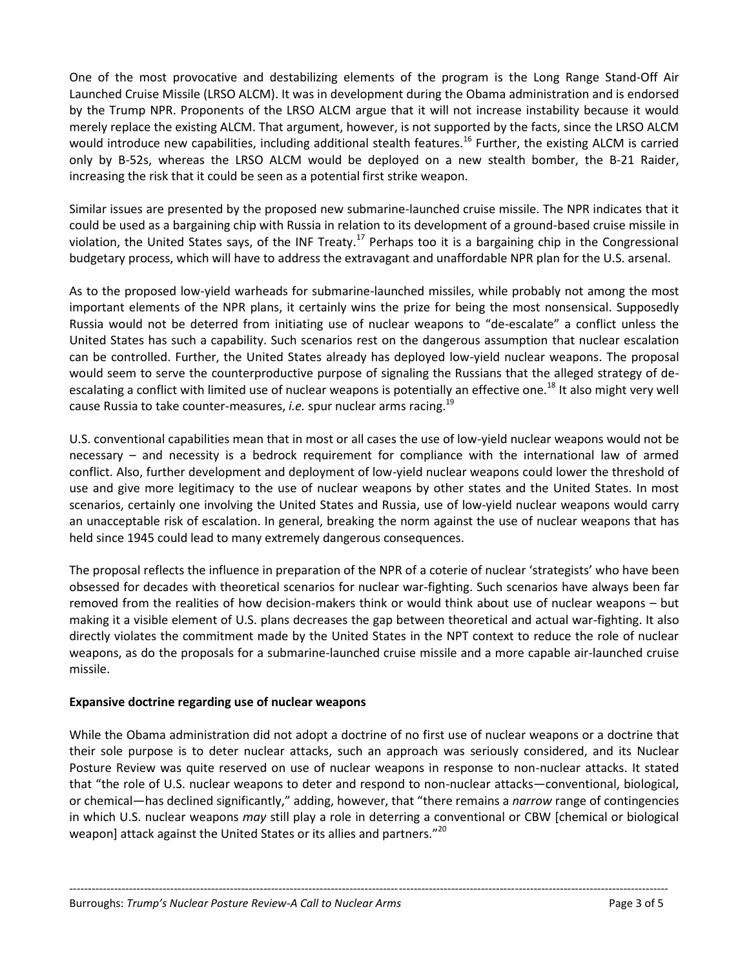One of the most provocative and destabilizing elements of the program is the Long Range Stand-Off Air Launched Cruise Missile (LRSO ALCM). It was in development during the Obama administration and is endorsed by the Trump NPR. Proponents of the LRSO ALCM argue that it will not increase instability because it would merely replace the existing ALCM. That argument, however, is not supported by the facts, since the LRSO ALCM would introduce new capabilities, including additional stealth features.<sup>16</sup> Further, the existing ALCM is carried only by B-52s, whereas the LRSO ALCM would be deployed on a new stealth bomber, the B-21 Raider, increasing the risk that it could be seen as a potential first strike weapon.

Similar issues are presented by the proposed new submarine-launched cruise missile. The NPR indicates that it could be used as a bargaining chip with Russia in relation to its development of a ground-based cruise missile in violation, the United States says, of the INF Treaty.<sup>17</sup> Perhaps too it is a bargaining chip in the Congressional budgetary process, which will have to address the extravagant and unaffordable NPR plan for the U.S. arsenal.

As to the proposed low-yield warheads for submarine-launched missiles, while probably not among the most important elements of the NPR plans, it certainly wins the prize for being the most nonsensical. Supposedly Russia would not be deterred from initiating use of nuclear weapons to "de-escalate" a conflict unless the United States has such a capability. Such scenarios rest on the dangerous assumption that nuclear escalation can be controlled. Further, the United States already has deployed low-yield nuclear weapons. The proposal would seem to serve the counterproductive purpose of signaling the Russians that the alleged strategy of deescalating a conflict with limited use of nuclear weapons is potentially an effective one.<sup>18</sup> It also might very well cause Russia to take counter-measures, *i.e.* spur nuclear arms racing.<sup>19</sup>

U.S. conventional capabilities mean that in most or all cases the use of low-yield nuclear weapons would not be necessary – and necessity is a bedrock requirement for compliance with the international law of armed conflict. Also, further development and deployment of low-yield nuclear weapons could lower the threshold of use and give more legitimacy to the use of nuclear weapons by other states and the United States. In most scenarios, certainly one involving the United States and Russia, use of low-yield nuclear weapons would carry an unacceptable risk of escalation. In general, breaking the norm against the use of nuclear weapons that has held since 1945 could lead to many extremely dangerous consequences.

The proposal reflects the influence in preparation of the NPR of a coterie of nuclear 'strategists' who have been obsessed for decades with theoretical scenarios for nuclear war-fighting. Such scenarios have always been far removed from the realities of how decision-makers think or would think about use of nuclear weapons – but making it a visible element of U.S. plans decreases the gap between theoretical and actual war-fighting. It also directly violates the commitment made by the United States in the NPT context to reduce the role of nuclear weapons, as do the proposals for a submarine-launched cruise missile and a more capable air-launched cruise missile.

#### **Expansive doctrine regarding use of nuclear weapons**

While the Obama administration did not adopt a doctrine of no first use of nuclear weapons or a doctrine that their sole purpose is to deter nuclear attacks, such an approach was seriously considered, and its Nuclear Posture Review was quite reserved on use of nuclear weapons in response to non-nuclear attacks. It stated that "the role of U.S. nuclear weapons to deter and respond to non-nuclear attacks—conventional, biological, or chemical—has declined significantly," adding, however, that "there remains a *narrow* range of contingencies in which U.S. nuclear weapons *may* still play a role in deterring a conventional or CBW [chemical or biological weapon] attack against the United States or its allies and partners."<sup>20</sup>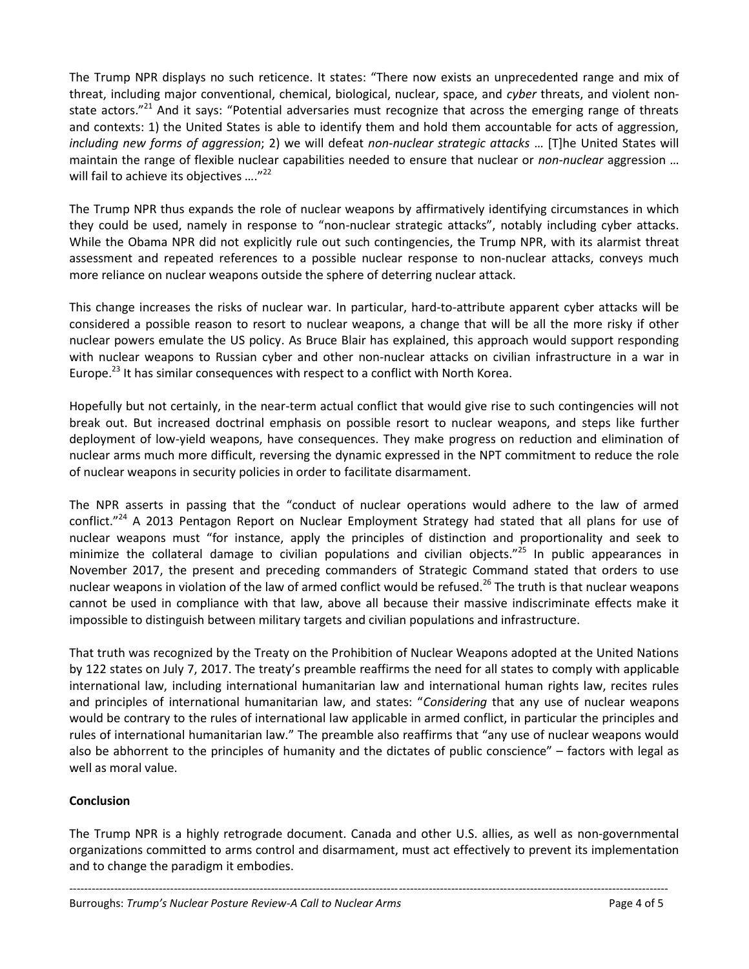The Trump NPR displays no such reticence. It states: "There now exists an unprecedented range and mix of threat, including major conventional, chemical, biological, nuclear, space, and *cyber* threats, and violent nonstate actors."<sup>21</sup> And it says: "Potential adversaries must recognize that across the emerging range of threats and contexts: 1) the United States is able to identify them and hold them accountable for acts of aggression, *including new forms of aggression*; 2) we will defeat *non-nuclear strategic attacks* … [T]he United States will maintain the range of flexible nuclear capabilities needed to ensure that nuclear or *non-nuclear* aggression … will fail to achieve its objectives ...."<sup>22</sup>

The Trump NPR thus expands the role of nuclear weapons by affirmatively identifying circumstances in which they could be used, namely in response to "non-nuclear strategic attacks", notably including cyber attacks. While the Obama NPR did not explicitly rule out such contingencies, the Trump NPR, with its alarmist threat assessment and repeated references to a possible nuclear response to non-nuclear attacks, conveys much more reliance on nuclear weapons outside the sphere of deterring nuclear attack.

This change increases the risks of nuclear war. In particular, hard-to-attribute apparent cyber attacks will be considered a possible reason to resort to nuclear weapons, a change that will be all the more risky if other nuclear powers emulate the US policy. As Bruce Blair has explained, this approach would support responding with nuclear weapons to Russian cyber and other non-nuclear attacks on civilian infrastructure in a war in Europe.<sup>23</sup> It has similar consequences with respect to a conflict with North Korea.

Hopefully but not certainly, in the near-term actual conflict that would give rise to such contingencies will not break out. But increased doctrinal emphasis on possible resort to nuclear weapons, and steps like further deployment of low-yield weapons, have consequences. They make progress on reduction and elimination of nuclear arms much more difficult, reversing the dynamic expressed in the NPT commitment to reduce the role of nuclear weapons in security policies in order to facilitate disarmament.

The NPR asserts in passing that the "conduct of nuclear operations would adhere to the law of armed conflict."<sup>24</sup> A 2013 Pentagon Report on Nuclear Employment Strategy had stated that all plans for use of nuclear weapons must "for instance, apply the principles of distinction and proportionality and seek to minimize the collateral damage to civilian populations and civilian objects."<sup>25</sup> In public appearances in November 2017, the present and preceding commanders of Strategic Command stated that orders to use nuclear weapons in violation of the law of armed conflict would be refused.<sup>26</sup> The truth is that nuclear weapons cannot be used in compliance with that law, above all because their massive indiscriminate effects make it impossible to distinguish between military targets and civilian populations and infrastructure.

That truth was recognized by the Treaty on the Prohibition of Nuclear Weapons adopted at the United Nations by 122 states on July 7, 2017. The treaty's preamble reaffirms the need for all states to comply with applicable international law, including international humanitarian law and international human rights law, recites rules and principles of international humanitarian law, and states: "*Considering* that any use of nuclear weapons would be contrary to the rules of international law applicable in armed conflict, in particular the principles and rules of international humanitarian law." The preamble also reaffirms that "any use of nuclear weapons would also be abhorrent to the principles of humanity and the dictates of public conscience" – factors with legal as well as moral value.

### **Conclusion**

The Trump NPR is a highly retrograde document. Canada and other U.S. allies, as well as non-governmental organizations committed to arms control and disarmament, must act effectively to prevent its implementation and to change the paradigm it embodies.